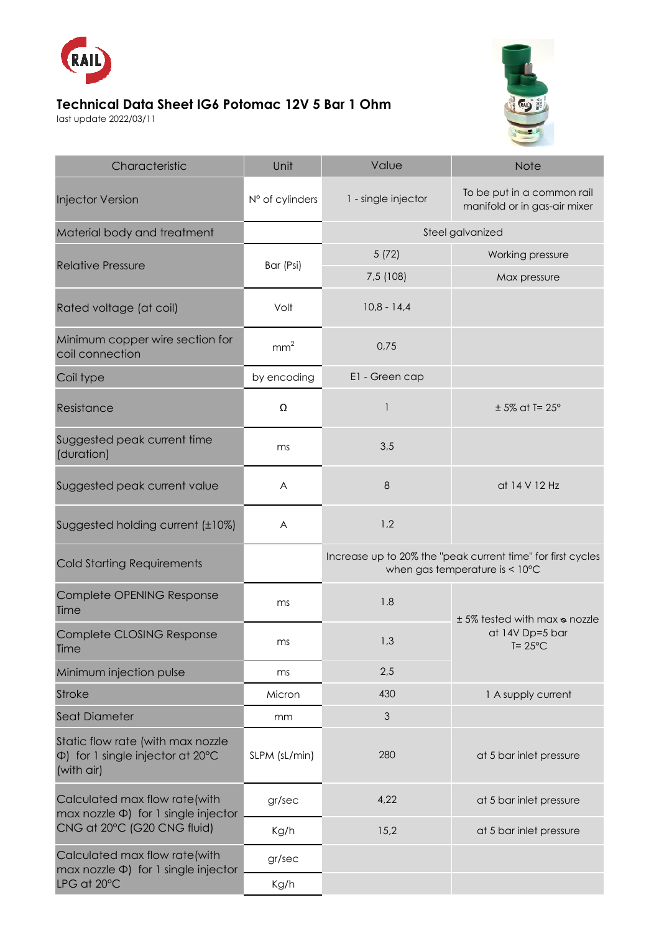

## **Technical Data Sheet IG6 Potomac 12V 5 Bar 1 Ohm**

last update 2022/03/11



| Characteristic                                                                                            | Unit            | Value                                                                                                   | <b>Note</b>                                                           |
|-----------------------------------------------------------------------------------------------------------|-----------------|---------------------------------------------------------------------------------------------------------|-----------------------------------------------------------------------|
| <b>Injector Version</b>                                                                                   | N° of cylinders | 1 - single injector                                                                                     | To be put in a common rail<br>manifold or in gas-air mixer            |
| Material body and treatment                                                                               |                 | Steel galvanized                                                                                        |                                                                       |
| <b>Relative Pressure</b>                                                                                  | Bar (Psi)       | 5(72)                                                                                                   | Working pressure                                                      |
|                                                                                                           |                 | 7,5 (108)                                                                                               | Max pressure                                                          |
| Rated voltage (at coil)                                                                                   | Volt            | $10,8 - 14,4$                                                                                           |                                                                       |
| Minimum copper wire section for<br>coil connection                                                        | mm <sup>2</sup> | 0,75                                                                                                    |                                                                       |
| Coil type                                                                                                 | by encoding     | E1 - Green cap                                                                                          |                                                                       |
| Resistance                                                                                                | Ω               | 1                                                                                                       | $± 5\%$ at T= 25°                                                     |
| Suggested peak current time<br>(duration)                                                                 | ms              | 3,5                                                                                                     |                                                                       |
| Suggested peak current value                                                                              | A               | 8                                                                                                       | at 14 V 12 Hz                                                         |
| Suggested holding current (±10%)                                                                          | A               | 1,2                                                                                                     |                                                                       |
| <b>Cold Starting Requirements</b>                                                                         |                 | Increase up to 20% the "peak current time" for first cycles<br>when gas temperature is $< 10^{\circ}$ C |                                                                       |
| Complete OPENING Response<br>Time                                                                         | ms              | 1.8                                                                                                     | ± 5% tested with max & nozzle<br>at 14V Dp=5 bar<br>$T = 25^{\circ}C$ |
| Complete CLOSING Response<br>Time                                                                         | ms              | 1,3                                                                                                     |                                                                       |
| Minimum injection pulse                                                                                   | ms              | 2,5                                                                                                     |                                                                       |
| <b>Stroke</b>                                                                                             | Micron          | 430                                                                                                     | 1 A supply current                                                    |
| Seat Diameter                                                                                             | mm              | 3                                                                                                       |                                                                       |
| Static flow rate (with max nozzle<br>$\Phi$ ) for 1 single injector at 20 $\degree$ C<br>(with air)       | SLPM (sL/min)   | 280                                                                                                     | at 5 bar inlet pressure                                               |
| Calculated max flow rate(with<br>max nozzle $\Phi$ ) for 1 single injector<br>CNG at 20°C (G20 CNG fluid) | gr/sec          | 4,22                                                                                                    | at 5 bar inlet pressure                                               |
|                                                                                                           | Kg/h            | 15,2                                                                                                    | at 5 bar inlet pressure                                               |
| Calculated max flow rate(with<br>$max$ nozzle $\Phi$ ) for 1 single injector<br>LPG at 20°C               | gr/sec          |                                                                                                         |                                                                       |
|                                                                                                           | Kg/h            |                                                                                                         |                                                                       |